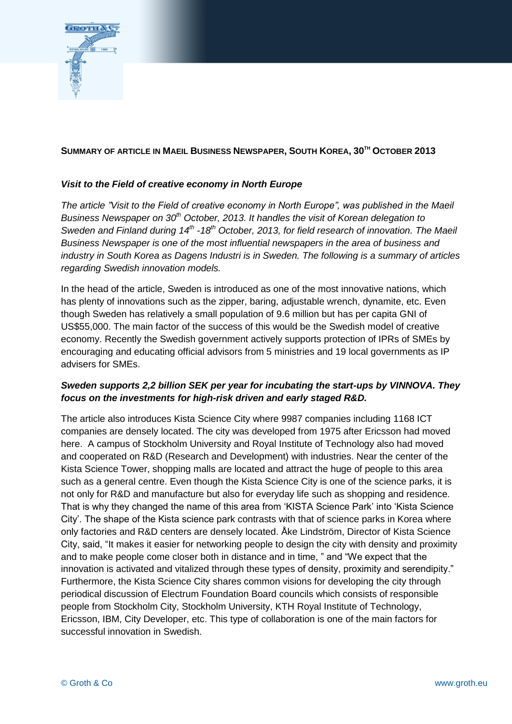

## **SUMMARY OF ARTICLE IN MAEIL BUSINESS NEWSPAPER, SOUTH KOREA, 30TH OCTOBER 2013**

## *Visit to the Field of creative economy in North Europe*

*The article "Visit to the Field of creative economy in North Europe", was published in the Maeil Business Newspaper on 30th October, 2013. It handles the visit of Korean delegation to Sweden and Finland during 14th -18th October, 2013, for field research of innovation. The Maeil Business Newspaper is one of the most influential newspapers in the area of business and industry in South Korea as Dagens Industri is in Sweden. The following is a summary of articles regarding Swedish innovation models.*

In the head of the article, Sweden is introduced as one of the most innovative nations, which has plenty of innovations such as the zipper, baring, adjustable wrench, dynamite, etc. Even though Sweden has relatively a small population of 9.6 million but has per capita GNI of US\$55,000. The main factor of the success of this would be the Swedish model of creative economy. Recently the Swedish government actively supports protection of IPRs of SMEs by encouraging and educating official advisors from 5 ministries and 19 local governments as IP advisers for SMEs.

## *Sweden supports 2,2 billion SEK per year for incubating the start-ups by VINNOVA. They focus on the investments for high-risk driven and early staged R&D.*

The article also introduces Kista Science City where 9987 companies including 1168 ICT companies are densely located. The city was developed from 1975 after Ericsson had moved here. A campus of Stockholm University and Royal Institute of Technology also had moved and cooperated on R&D (Research and Development) with industries. Near the center of the Kista Science Tower, shopping malls are located and attract the huge of people to this area such as a general centre. Even though the Kista Science City is one of the science parks, it is not only for R&D and manufacture but also for everyday life such as shopping and residence. That is why they changed the name of this area from 'KISTA Science Park' into 'Kista Science City'. The shape of the Kista science park contrasts with that of science parks in Korea where only factories and R&D centers are densely located. Åke Lindström, Director of Kista Science City, said, "It makes it easier for networking people to design the city with density and proximity and to make people come closer both in distance and in time, " and "We expect that the innovation is activated and vitalized through these types of density, proximity and serendipity." Furthermore, the Kista Science City shares common visions for developing the city through periodical discussion of Electrum Foundation Board councils which consists of responsible people from Stockholm City, Stockholm University, KTH Royal Institute of Technology, Ericsson, IBM, City Developer, etc. This type of collaboration is one of the main factors for successful innovation in Swedish.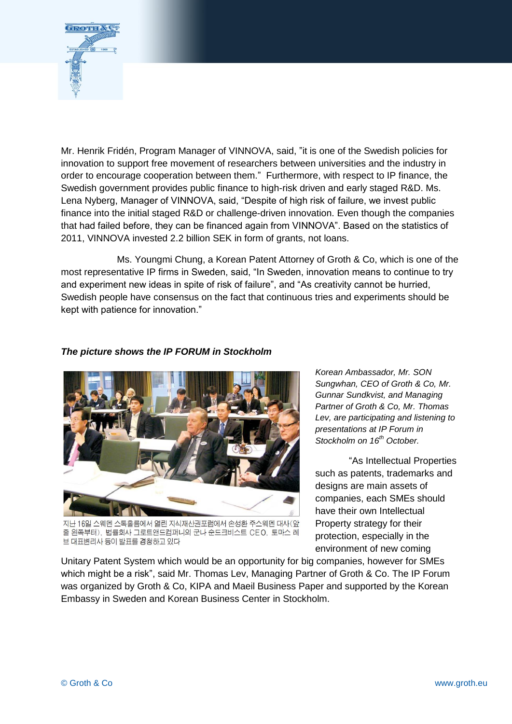

Mr. Henrik Fridén, Program Manager of VINNOVA, said, "it is one of the Swedish policies for innovation to support free movement of researchers between universities and the industry in order to encourage cooperation between them." Furthermore, with respect to IP finance, the Swedish government provides public finance to high-risk driven and early staged R&D. Ms. Lena Nyberg, Manager of VINNOVA, said, "Despite of high risk of failure, we invest public finance into the initial staged R&D or challenge-driven innovation. Even though the companies that had failed before, they can be financed again from VINNOVA". Based on the statistics of 2011, VINNOVA invested 2.2 billion SEK in form of grants, not loans.

Ms. Youngmi Chung, a Korean Patent Attorney of Groth & Co, which is one of the most representative IP firms in Sweden, said, "In Sweden, innovation means to continue to try and experiment new ideas in spite of risk of failure", and "As creativity cannot be hurried, Swedish people have consensus on the fact that continuous tries and experiments should be kept with patience for innovation."

## *The picture shows the IP FORUM in Stockholm*



지난 16일 스웨덴 스톡홀름에서 열린 지식재산권포럼에서 손성환 주스웨덴 대사(앞 줄 왼쪽부터), 법률회사 그로트앤드컴퍼니의 군나 순드크비스트 CEO, 토마스 레 브 대표변리사 등이 발표를 경청하고 있다

*Korean Ambassador, Mr. SON Sungwhan, CEO of Groth & Co, Mr. Gunnar Sundkvist, and Managing Partner of Groth & Co, Mr. Thomas Lev, are participating and listening to presentations at IP Forum in Stockholm on 16th October.*

"As Intellectual Properties such as patents, trademarks and designs are main assets of companies, each SMEs should have their own Intellectual Property strategy for their protection, especially in the environment of new coming

Unitary Patent System which would be an opportunity for big companies, however for SMEs which might be a risk", said Mr. Thomas Lev, Managing Partner of Groth & Co. The IP Forum was organized by Groth & Co, KIPA and Maeil Business Paper and supported by the Korean Embassy in Sweden and Korean Business Center in Stockholm.